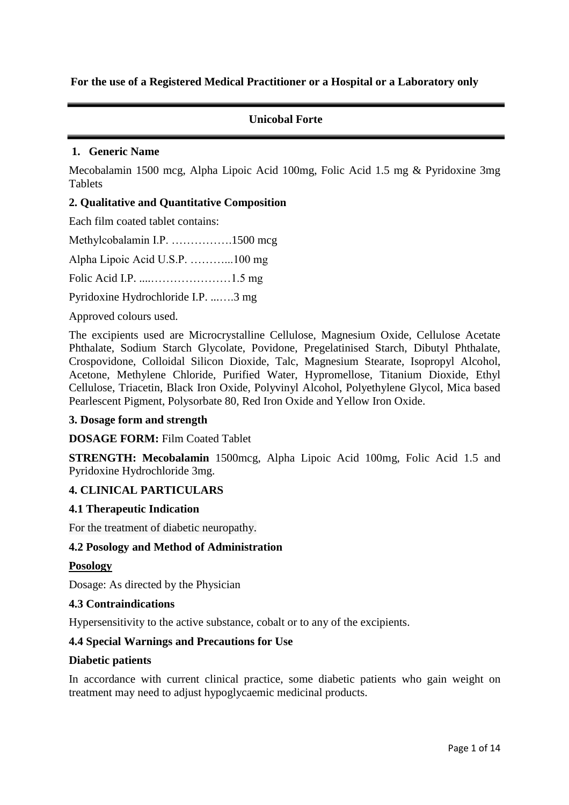**For the use of a Registered Medical Practitioner or a Hospital or a Laboratory only** 

# **Unicobal Forte**

### **1. Generic Name**

Mecobalamin 1500 mcg, Alpha Lipoic Acid 100mg, Folic Acid 1.5 mg & Pyridoxine 3mg Tablets

### **2. Qualitative and Quantitative Composition**

Each film coated tablet contains:

Methylcobalamin I.P. …………….1500 mcg Alpha Lipoic Acid U.S.P. ………...100 mg Folic Acid I.P. ....…………………1.5 mg Pyridoxine Hydrochloride I.P. ...….3 mg

Approved colours used.

The excipients used are Microcrystalline Cellulose, Magnesium Oxide, Cellulose Acetate Phthalate, Sodium Starch Glycolate, Povidone, Pregelatinised Starch, Dibutyl Phthalate, Crospovidone, Colloidal Silicon Dioxide, Talc, Magnesium Stearate, Isopropyl Alcohol, Acetone, Methylene Chloride, Purified Water, Hypromellose, Titanium Dioxide, Ethyl Cellulose, Triacetin, Black Iron Oxide, Polyvinyl Alcohol, Polyethylene Glycol, Mica based Pearlescent Pigment, Polysorbate 80, Red Iron Oxide and Yellow Iron Oxide.

### **3. Dosage form and strength**

### **DOSAGE FORM:** Film Coated Tablet

**STRENGTH: Mecobalamin** 1500mcg, Alpha Lipoic Acid 100mg, Folic Acid 1.5 and Pyridoxine Hydrochloride 3mg.

### **4. CLINICAL PARTICULARS**

### **4.1 Therapeutic Indication**

For the treatment of diabetic neuropathy.

### **4.2 Posology and Method of Administration**

### **Posology**

Dosage: As directed by the Physician

### **4.3 Contraindications**

Hypersensitivity to the active substance, cobalt or to any of the excipients.

### **4.4 Special Warnings and Precautions for Use**

### **Diabetic patients**

In accordance with current clinical practice, some diabetic patients who gain weight on treatment may need to adjust hypoglycaemic medicinal products.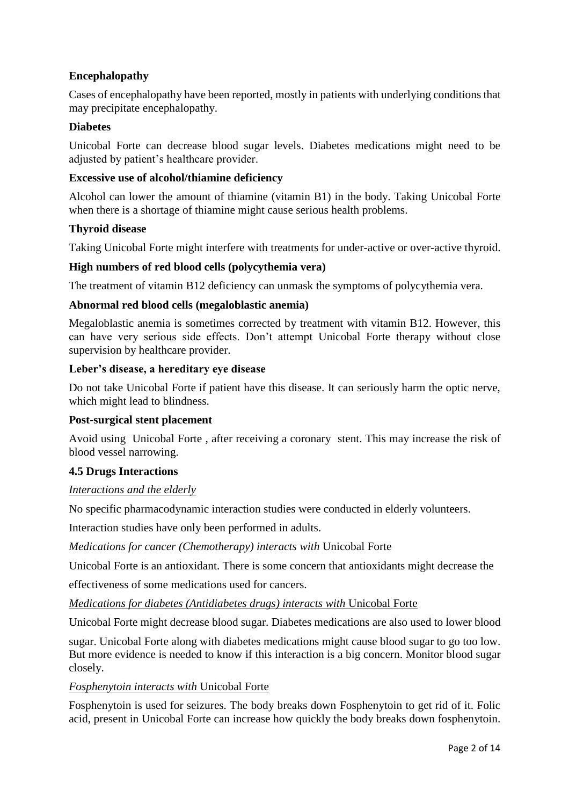# **Encephalopathy**

Cases of encephalopathy have been reported, mostly in patients with underlying conditions that may precipitate encephalopathy.

### **Diabetes**

Unicobal Forte can decrease blood sugar levels. Diabetes medications might need to be adjusted by patient's healthcare provider.

### **Excessive use of alcohol/thiamine deficiency**

Alcohol can lower the amount of thiamine (vitamin B1) in the body. Taking Unicobal Forte when there is a shortage of thiamine might cause serious health problems.

### **Thyroid disease**

Taking Unicobal Forte might interfere with treatments for under-active or over-active thyroid.

### **High numbers of red blood cells (polycythemia vera)**

The treatment of vitamin B12 deficiency can unmask the symptoms of polycythemia vera.

### **Abnormal red blood cells (megaloblastic anemia)**

Megaloblastic anemia is sometimes corrected by treatment with vitamin B12. However, this can have very serious side effects. Don't attempt Unicobal Forte therapy without close supervision by healthcare provider.

### **Leber's disease, a hereditary eye disease**

Do not take Unicobal Forte if patient have this disease. It can seriously harm the optic nerve, which might lead to blindness.

### **Post-surgical stent placement**

Avoid using Unicobal Forte , after receiving a coronary stent. This may increase the risk of blood vessel narrowing.

### **4.5 Drugs Interactions**

### *Interactions and the elderly*

No specific pharmacodynamic interaction studies were conducted in elderly volunteers.

Interaction studies have only been performed in adults.

*Medications for cancer (Chemotherapy) interacts with* Unicobal Forte

Unicobal Forte is an antioxidant. There is some concern that antioxidants might decrease the

effectiveness of some medications used for cancers.

*Medications for diabetes (Antidiabetes drugs) interacts with* Unicobal Forte

Unicobal Forte might decrease blood sugar. Diabetes medications are also used to lower blood

sugar. Unicobal Forte along with diabetes medications might cause blood sugar to go too low. But more evidence is needed to know if this interaction is a big concern. Monitor blood sugar closely.

### *Fosphenytoin interacts with* Unicobal Forte

Fosphenytoin is used for seizures. The body breaks down Fosphenytoin to get rid of it. Folic acid, present in Unicobal Forte can increase how quickly the body breaks down fosphenytoin.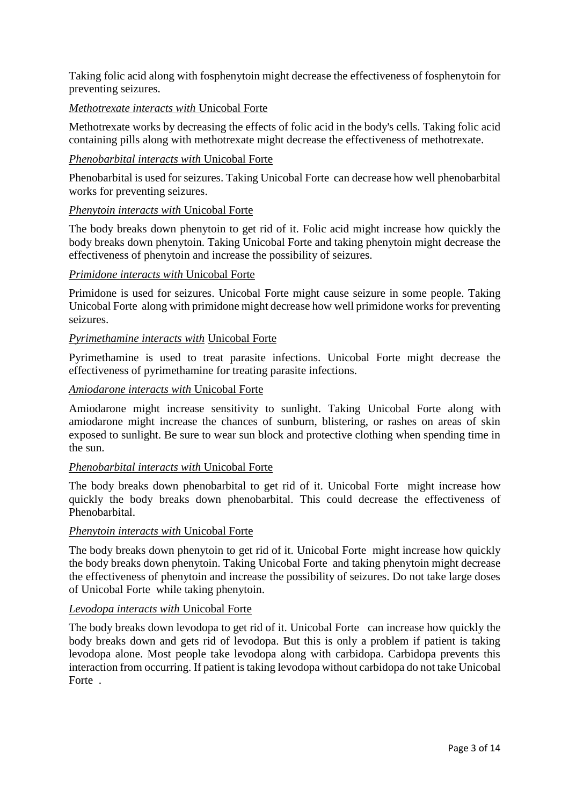Taking folic acid along with fosphenytoin might decrease the effectiveness of fosphenytoin for preventing seizures.

### *Methotrexate interacts with* Unicobal Forte

Methotrexate works by decreasing the effects of folic acid in the body's cells. Taking folic acid containing pills along with methotrexate might decrease the effectiveness of methotrexate.

### *Phenobarbital interacts with* Unicobal Forte

Phenobarbital is used for seizures. Taking Unicobal Forte can decrease how well phenobarbital works for preventing seizures.

### *Phenytoin interacts with* Unicobal Forte

The body breaks down phenytoin to get rid of it. Folic acid might increase how quickly the body breaks down phenytoin. Taking Unicobal Forte and taking phenytoin might decrease the effectiveness of phenytoin and increase the possibility of seizures.

### *Primidone interacts with* Unicobal Forte

Primidone is used for seizures. Unicobal Forte might cause seizure in some people. Taking Unicobal Forte along with primidone might decrease how well primidone works for preventing seizures.

### *Pyrimethamine interacts with* Unicobal Forte

Pyrimethamine is used to treat parasite infections. Unicobal Forte might decrease the effectiveness of pyrimethamine for treating parasite infections.

### *Amiodarone interacts with* Unicobal Forte

Amiodarone might increase sensitivity to sunlight. Taking Unicobal Forte along with amiodarone might increase the chances of sunburn, blistering, or rashes on areas of skin exposed to sunlight. Be sure to wear sun block and protective clothing when spending time in the sun.

### *Phenobarbital interacts with* Unicobal Forte

The body breaks down phenobarbital to get rid of it. Unicobal Forte might increase how quickly the body breaks down phenobarbital. This could decrease the effectiveness of Phenobarbital.

### *Phenytoin interacts with* Unicobal Forte

The body breaks down phenytoin to get rid of it. Unicobal Forte might increase how quickly the body breaks down phenytoin. Taking Unicobal Forte and taking phenytoin might decrease the effectiveness of phenytoin and increase the possibility of seizures. Do not take large doses of Unicobal Forte while taking phenytoin.

### *Levodopa interacts with* Unicobal Forte

The body breaks down levodopa to get rid of it. Unicobal Forte can increase how quickly the body breaks down and gets rid of levodopa. But this is only a problem if patient is taking levodopa alone. Most people take levodopa along with carbidopa. Carbidopa prevents this interaction from occurring. If patient is taking levodopa without carbidopa do not take Unicobal Forte .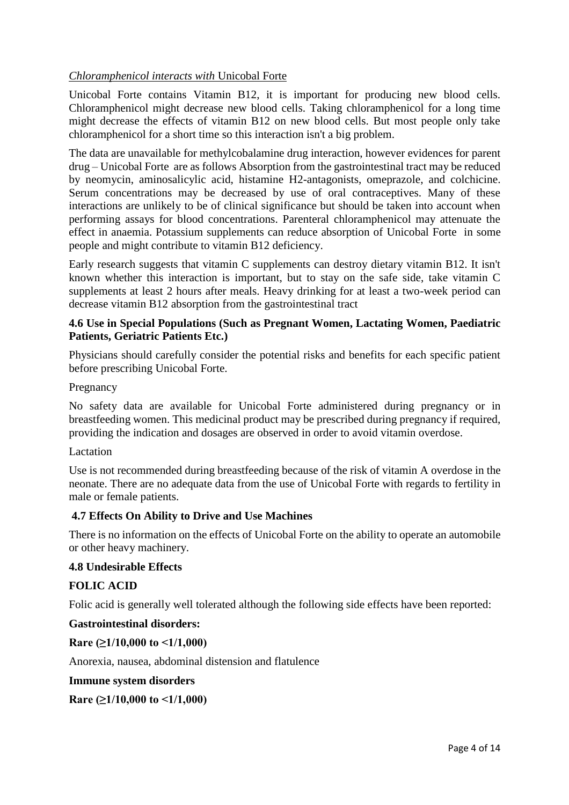# *Chloramphenicol interacts with* Unicobal Forte

Unicobal Forte contains Vitamin B12, it is important for producing new blood cells. Chloramphenicol might decrease new blood cells. Taking chloramphenicol for a long time might decrease the effects of vitamin B12 on new blood cells. But most people only take chloramphenicol for a short time so this interaction isn't a big problem.

The data are unavailable for methylcobalamine drug interaction, however evidences for parent drug – Unicobal Forte are as follows Absorption from the gastrointestinal tract may be reduced by neomycin, aminosalicylic acid, histamine H2-antagonists, omeprazole, and colchicine. Serum concentrations may be decreased by use of oral contraceptives. Many of these interactions are unlikely to be of clinical significance but should be taken into account when performing assays for blood concentrations. Parenteral chloramphenicol may attenuate the effect in anaemia. Potassium supplements can reduce absorption of Unicobal Forte in some people and might contribute to vitamin B12 deficiency.

Early research suggests that vitamin C supplements can destroy dietary vitamin B12. It isn't known whether this interaction is important, but to stay on the safe side, take vitamin C supplements at least 2 hours after meals. Heavy drinking for at least a two-week period can decrease vitamin B12 absorption from the gastrointestinal tract

### **4.6 Use in Special Populations (Such as Pregnant Women, Lactating Women, Paediatric Patients, Geriatric Patients Etc.)**

Physicians should carefully consider the potential risks and benefits for each specific patient before prescribing Unicobal Forte.

### Pregnancy

No safety data are available for Unicobal Forte administered during pregnancy or in breastfeeding women. This medicinal product may be prescribed during pregnancy if required, providing the indication and dosages are observed in order to avoid vitamin overdose.

### **Lactation**

Use is not recommended during breastfeeding because of the risk of vitamin A overdose in the neonate. There are no adequate data from the use of Unicobal Forte with regards to fertility in male or female patients.

# **4.7 Effects On Ability to Drive and Use Machines**

There is no information on the effects of Unicobal Forte on the ability to operate an automobile or other heavy machinery.

### **4.8 Undesirable Effects**

# **FOLIC ACID**

Folic acid is generally well tolerated although the following side effects have been reported:

### **Gastrointestinal disorders:**

**Rare (≥1/10,000 to <1/1,000)**

Anorexia, nausea, abdominal distension and flatulence

**Immune system disorders**

**Rare (≥1/10,000 to <1/1,000)**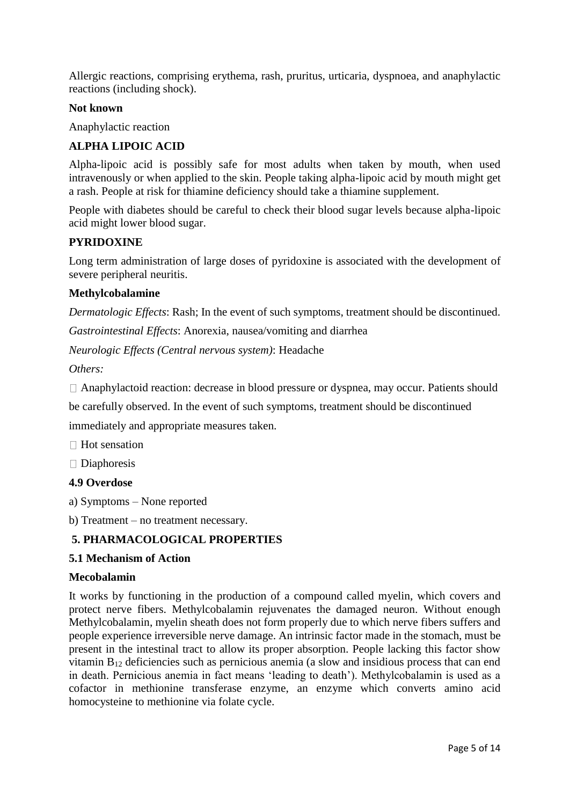Allergic reactions, comprising erythema, rash, pruritus, urticaria, dyspnoea, and anaphylactic reactions (including shock).

### **Not known**

Anaphylactic reaction

### **ALPHA LIPOIC ACID**

Alpha-lipoic acid is possibly safe for most adults when taken by mouth, when used intravenously or when applied to the skin. People taking alpha-lipoic acid by mouth might get a rash. People at risk for thiamine deficiency should take a thiamine supplement.

People with diabetes should be careful to check their blood sugar levels because alpha-lipoic acid might lower blood sugar.

### **PYRIDOXINE**

Long term administration of large doses of pyridoxine is associated with the development of severe peripheral neuritis.

### **Methylcobalamine**

*Dermatologic Effects*: Rash; In the event of such symptoms, treatment should be discontinued.

*Gastrointestinal Effects*: Anorexia, nausea/vomiting and diarrhea

*Neurologic Effects (Central nervous system)*: Headache

*Others:*

Anaphylactoid reaction: decrease in blood pressure or dyspnea, may occur. Patients should

be carefully observed. In the event of such symptoms, treatment should be discontinued

immediately and appropriate measures taken.

 $\Box$  Hot sensation

 $\square$  Diaphoresis

### **4.9 Overdose**

a) Symptoms – None reported

b) Treatment – no treatment necessary.

### **5. PHARMACOLOGICAL PROPERTIES**

### **5.1 Mechanism of Action**

### **Mecobalamin**

It works by functioning in the production of a compound called myelin, which covers and protect nerve fibers. Methylcobalamin rejuvenates the damaged neuron. Without enough Methylcobalamin, myelin sheath does not form properly due to which nerve fibers suffers and people experience irreversible nerve damage. An intrinsic factor made in the stomach, must be present in the intestinal tract to allow its proper absorption. People lacking this factor show vitamin B<sup>12</sup> deficiencies such as pernicious anemia (a slow and insidious process that can end in death. Pernicious anemia in fact means 'leading to death'). Methylcobalamin is used as a cofactor in methionine transferase enzyme, an enzyme which converts amino acid homocysteine to methionine via folate cycle.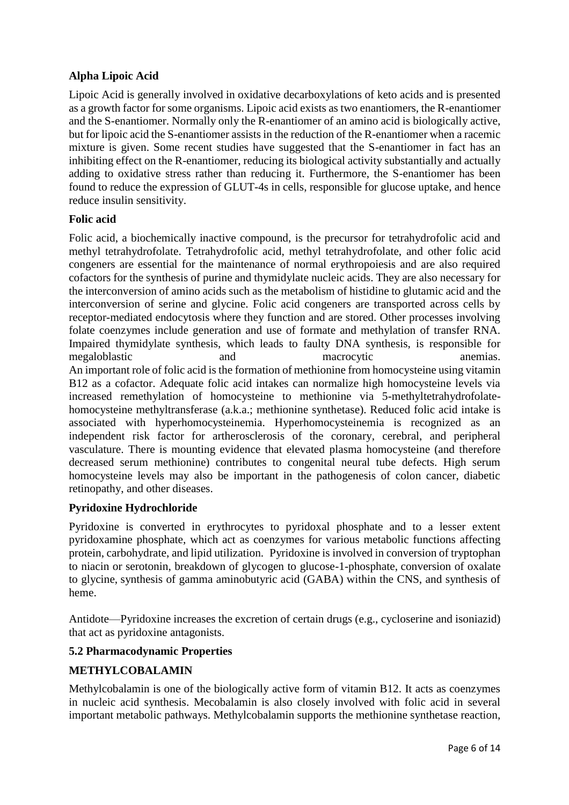# **Alpha Lipoic Acid**

Lipoic Acid is generally involved in oxidative decarboxylations of keto acids and is presented as a growth factor for some organisms. Lipoic acid exists as two enantiomers, the R-enantiomer and the S-enantiomer. Normally only the R-enantiomer of an amino acid is biologically active, but for lipoic acid the S-enantiomer assists in the reduction of the R-enantiomer when a racemic mixture is given. Some recent studies have suggested that the S-enantiomer in fact has an inhibiting effect on the R-enantiomer, reducing its biological activity substantially and actually adding to oxidative stress rather than reducing it. Furthermore, the S-enantiomer has been found to reduce the expression of GLUT-4s in cells, responsible for glucose uptake, and hence reduce insulin sensitivity.

# **Folic acid**

Folic acid, a biochemically inactive compound, is the precursor for tetrahydrofolic acid and methyl tetrahydrofolate. Tetrahydrofolic acid, methyl tetrahydrofolate, and other folic acid congeners are essential for the maintenance of normal erythropoiesis and are also required cofactors for the synthesis of purine and thymidylate nucleic acids. They are also necessary for the interconversion of amino acids such as the metabolism of histidine to glutamic acid and the interconversion of serine and glycine. Folic acid congeners are transported across cells by receptor-mediated endocytosis where they function and are stored. Other processes involving folate coenzymes include generation and use of formate and methylation of transfer RNA. Impaired thymidylate synthesis, which leads to faulty DNA synthesis, is responsible for megaloblastic and macrocytic anemias. An important role of folic acid is the formation of methionine from homocysteine using vitamin B12 as a cofactor. Adequate folic acid intakes can normalize high homocysteine levels via increased remethylation of homocysteine to methionine via 5-methyltetrahydrofolatehomocysteine methyltransferase (a.k.a.; methionine synthetase). Reduced folic acid intake is associated with hyperhomocysteinemia. Hyperhomocysteinemia is recognized as an independent risk factor for artherosclerosis of the coronary, cerebral, and peripheral vasculature. There is mounting evidence that elevated plasma homocysteine (and therefore decreased serum methionine) contributes to congenital neural tube defects. High serum homocysteine levels may also be important in the pathogenesis of colon cancer, diabetic retinopathy, and other diseases.

# **Pyridoxine Hydrochloride**

Pyridoxine is converted in erythrocytes to pyridoxal phosphate and to a lesser extent pyridoxamine phosphate, which act as coenzymes for various metabolic functions affecting protein, carbohydrate, and lipid utilization. Pyridoxine is involved in conversion of tryptophan to niacin or serotonin, breakdown of glycogen to glucose-1-phosphate, conversion of oxalate to glycine, synthesis of gamma aminobutyric acid (GABA) within the CNS, and synthesis of heme.

Antidote—Pyridoxine increases the excretion of certain drugs (e.g., cycloserine and isoniazid) that act as pyridoxine antagonists.

# **5.2 Pharmacodynamic Properties**

# **METHYLCOBALAMIN**

Methylcobalamin is one of the biologically active form of vitamin B12. It acts as coenzymes in nucleic acid synthesis. Mecobalamin is also closely involved with folic acid in several important metabolic pathways. Methylcobalamin supports the methionine synthetase reaction,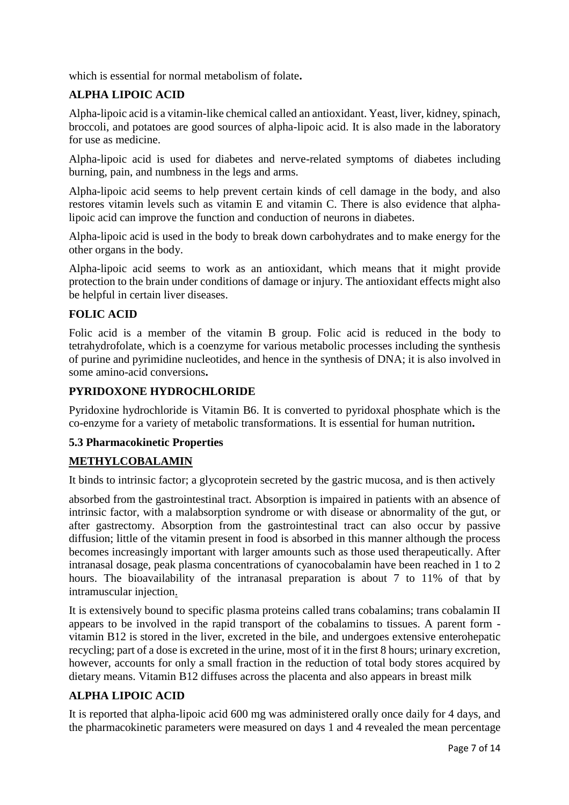which is essential for normal metabolism of folate**.** 

# **ALPHA LIPOIC ACID**

Alpha-lipoic acid is a vitamin-like chemical called an antioxidant. Yeast, liver, kidney, spinach, broccoli, and potatoes are good sources of alpha-lipoic acid. It is also made in the laboratory for use as medicine.

Alpha-lipoic acid is used for diabetes and nerve-related symptoms of diabetes including burning, pain, and numbness in the legs and arms.

Alpha-lipoic acid seems to help prevent certain kinds of cell damage in the body, and also restores vitamin levels such as vitamin E and vitamin C. There is also evidence that alphalipoic acid can improve the function and conduction of neurons in diabetes.

Alpha-lipoic acid is used in the body to break down carbohydrates and to make energy for the other organs in the body.

Alpha-lipoic acid seems to work as an antioxidant, which means that it might provide protection to the brain under conditions of damage or injury. The antioxidant effects might also be helpful in certain liver diseases.

# **FOLIC ACID**

Folic acid is a member of the vitamin B group. Folic acid is reduced in the body to tetrahydrofolate, which is a coenzyme for various metabolic processes including the synthesis of purine and pyrimidine nucleotides, and hence in the synthesis of DNA; it is also involved in some amino-acid conversions**.**

# **PYRIDOXONE HYDROCHLORIDE**

Pyridoxine hydrochloride is Vitamin B6. It is converted to pyridoxal phosphate which is the co-enzyme for a variety of metabolic transformations. It is essential for human nutrition**.** 

### **5.3 Pharmacokinetic Properties**

# **METHYLCOBALAMIN**

It binds to intrinsic factor; a glycoprotein secreted by the gastric mucosa, and is then actively

absorbed from the gastrointestinal tract. Absorption is impaired in patients with an absence of intrinsic factor, with a malabsorption syndrome or with disease or abnormality of the gut, or after gastrectomy. Absorption from the gastrointestinal tract can also occur by passive diffusion; little of the vitamin present in food is absorbed in this manner although the process becomes increasingly important with larger amounts such as those used therapeutically. After intranasal dosage, peak plasma concentrations of cyanocobalamin have been reached in 1 to 2 hours. The bioavailability of the intranasal preparation is about 7 to 11% of that by intramuscular injection.

It is extensively bound to specific plasma proteins called trans cobalamins; trans cobalamin II appears to be involved in the rapid transport of the cobalamins to tissues. A parent form vitamin B12 is stored in the liver, excreted in the bile, and undergoes extensive enterohepatic recycling; part of a dose is excreted in the urine, most of it in the first 8 hours; urinary excretion, however, accounts for only a small fraction in the reduction of total body stores acquired by dietary means. Vitamin B12 diffuses across the placenta and also appears in breast milk

# **ALPHA LIPOIC ACID**

It is reported that alpha-lipoic acid 600 mg was administered orally once daily for 4 days, and the pharmacokinetic parameters were measured on days 1 and 4 revealed the mean percentage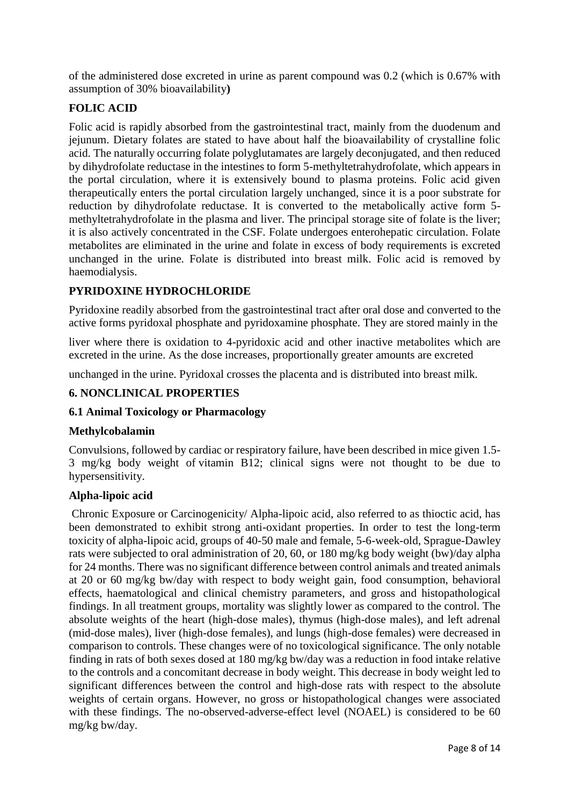of the administered dose excreted in urine as parent compound was 0.2 (which is 0.67% with assumption of 30% bioavailability**)**

# **FOLIC ACID**

Folic acid is rapidly absorbed from the gastrointestinal tract, mainly from the duodenum and jejunum. Dietary folates are stated to have about half the bioavailability of crystalline folic acid. The naturally occurring folate polyglutamates are largely deconjugated, and then reduced by dihydrofolate reductase in the intestines to form 5-methyltetrahydrofolate, which appears in the portal circulation, where it is extensively bound to plasma proteins. Folic acid given therapeutically enters the portal circulation largely unchanged, since it is a poor substrate for reduction by dihydrofolate reductase. It is converted to the metabolically active form 5 methyltetrahydrofolate in the plasma and liver. The principal storage site of folate is the liver; it is also actively concentrated in the CSF. Folate undergoes enterohepatic circulation. Folate metabolites are eliminated in the urine and folate in excess of body requirements is excreted unchanged in the urine. Folate is distributed into breast milk. Folic acid is removed by haemodialysis.

# **PYRIDOXINE HYDROCHLORIDE**

Pyridoxine readily absorbed from the gastrointestinal tract after oral dose and converted to the active forms pyridoxal phosphate and pyridoxamine phosphate. They are stored mainly in the

liver where there is oxidation to 4-pyridoxic acid and other inactive metabolites which are excreted in the urine. As the dose increases, proportionally greater amounts are excreted

unchanged in the urine. Pyridoxal crosses the placenta and is distributed into breast milk.

# **6. NONCLINICAL PROPERTIES**

### **6.1 Animal Toxicology or Pharmacology**

### **Methylcobalamin**

Convulsions, followed by cardiac or respiratory failure, have been described in mice given 1.5- 3 mg/kg body weight of [vitamin B12;](https://pubchem.ncbi.nlm.nih.gov/compound/vitamin%20B12) clinical signs were not thought to be due to hypersensitivity.

### **Alpha-lipoic acid**

Chronic Exposure or Carcinogenicity/ Alpha-lipoic acid, also referred to as thioctic acid, has been demonstrated to exhibit strong anti-oxidant properties. In order to test the long-term toxicity of alpha-lipoic acid, groups of 40-50 male and female, 5-6-week-old, Sprague-Dawley rats were subjected to oral administration of 20, 60, or 180 mg/kg body weight (bw)/day alpha for 24 months. There was no significant difference between control animals and treated animals at 20 or 60 mg/kg bw/day with respect to body weight gain, food consumption, behavioral effects, haematological and clinical chemistry parameters, and gross and histopathological findings. In all treatment groups, mortality was slightly lower as compared to the control. The absolute weights of the heart (high-dose males), thymus (high-dose males), and left adrenal (mid-dose males), liver (high-dose females), and lungs (high-dose females) were decreased in comparison to controls. These changes were of no toxicological significance. The only notable finding in rats of both sexes dosed at 180 mg/kg bw/day was a reduction in food intake relative to the controls and a concomitant decrease in body weight. This decrease in body weight led to significant differences between the control and high-dose rats with respect to the absolute weights of certain organs. However, no gross or histopathological changes were associated with these findings. The no-observed-adverse-effect level (NOAEL) is considered to be 60 mg/kg bw/day.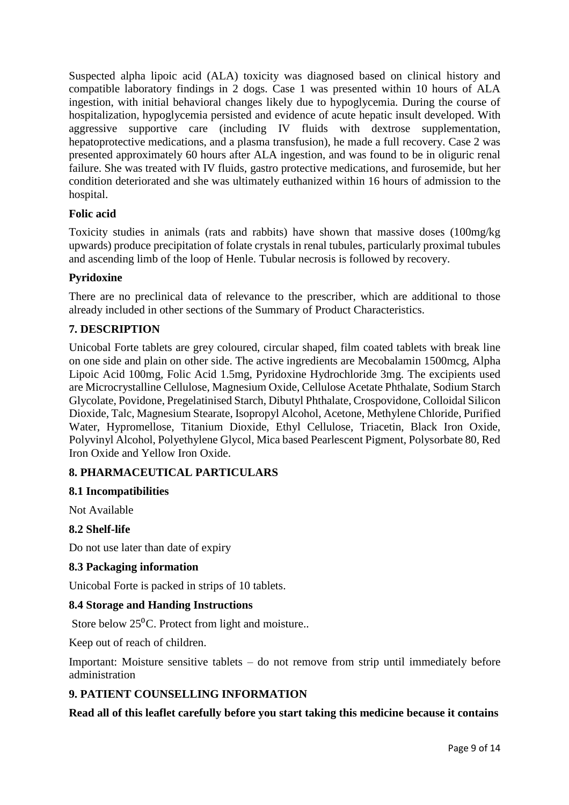Suspected alpha lipoic acid (ALA) toxicity was diagnosed based on clinical history and compatible laboratory findings in 2 dogs. Case 1 was presented within 10 hours of ALA ingestion, with initial behavioral changes likely due to hypoglycemia. During the course of hospitalization, hypoglycemia persisted and evidence of acute hepatic insult developed. With aggressive supportive care (including IV fluids with dextrose supplementation, hepatoprotective medications, and a plasma transfusion), he made a full recovery. Case 2 was presented approximately 60 hours after ALA ingestion, and was found to be in oliguric renal failure. She was treated with IV fluids, gastro protective medications, and furosemide, but her condition deteriorated and she was ultimately euthanized within 16 hours of admission to the hospital.

### **Folic acid**

Toxicity studies in animals (rats and rabbits) have shown that massive doses (100mg/kg upwards) produce precipitation of folate crystals in renal tubules, particularly proximal tubules and ascending limb of the loop of Henle. Tubular necrosis is followed by recovery.

# **Pyridoxine**

There are no preclinical data of relevance to the prescriber, which are additional to those already included in other sections of the Summary of Product Characteristics.

# **7. DESCRIPTION**

Unicobal Forte tablets are grey coloured, circular shaped, film coated tablets with break line on one side and plain on other side. The active ingredients are Mecobalamin 1500mcg, Alpha Lipoic Acid 100mg, Folic Acid 1.5mg, Pyridoxine Hydrochloride 3mg. The excipients used are Microcrystalline Cellulose, Magnesium Oxide, Cellulose Acetate Phthalate, Sodium Starch Glycolate, Povidone, Pregelatinised Starch, Dibutyl Phthalate, Crospovidone, Colloidal Silicon Dioxide, Talc, Magnesium Stearate, Isopropyl Alcohol, Acetone, Methylene Chloride, Purified Water, Hypromellose, Titanium Dioxide, Ethyl Cellulose, Triacetin, Black Iron Oxide, Polyvinyl Alcohol, Polyethylene Glycol, Mica based Pearlescent Pigment, Polysorbate 80, Red Iron Oxide and Yellow Iron Oxide.

# **8. PHARMACEUTICAL PARTICULARS**

### **8.1 Incompatibilities**

Not Available

### **8.2 Shelf-life**

Do not use later than date of expiry

### **8.3 Packaging information**

Unicobal Forte is packed in strips of 10 tablets.

### **8.4 Storage and Handing Instructions**

Store below  $25^{\circ}$ C. Protect from light and moisture..

Keep out of reach of children.

Important: Moisture sensitive tablets – do not remove from strip until immediately before administration

### **9. PATIENT COUNSELLING INFORMATION**

### **Read all of this leaflet carefully before you start taking this medicine because it contains**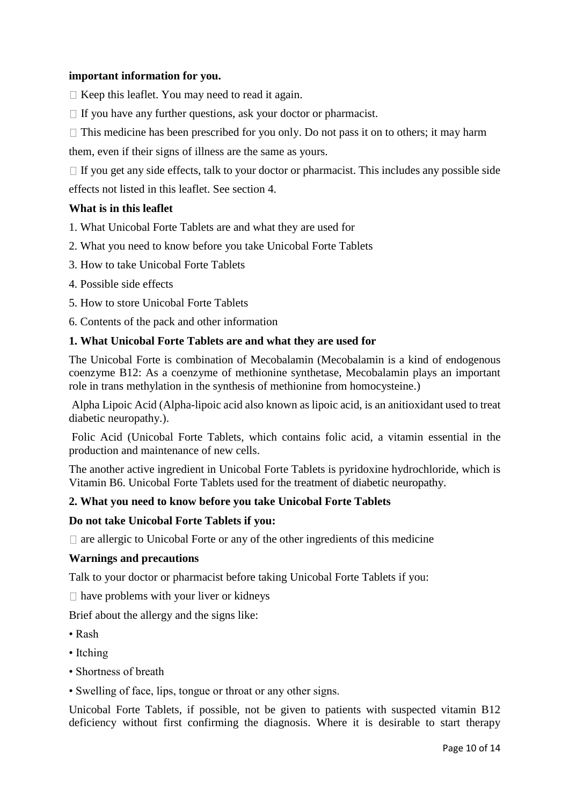### **important information for you.**

- $\Box$  Keep this leaflet. You may need to read it again.
- $\Box$  If you have any further questions, ask your doctor or pharmacist.
- $\Box$  This medicine has been prescribed for you only. Do not pass it on to others; it may harm

them, even if their signs of illness are the same as yours.

 $\Box$  If you get any side effects, talk to your doctor or pharmacist. This includes any possible side effects not listed in this leaflet. See section 4.

### **What is in this leaflet**

- 1. What Unicobal Forte Tablets are and what they are used for
- 2. What you need to know before you take Unicobal Forte Tablets
- 3. How to take Unicobal Forte Tablets
- 4. Possible side effects
- 5. How to store Unicobal Forte Tablets
- 6. Contents of the pack and other information

### **1. What Unicobal Forte Tablets are and what they are used for**

The Unicobal Forte is combination of Mecobalamin (Mecobalamin is a kind of endogenous coenzyme B12: As a coenzyme of methionine synthetase, Mecobalamin plays an important role in trans methylation in the synthesis of methionine from homocysteine.)

Alpha Lipoic Acid (Alpha-lipoic acid also known as lipoic acid, is an anitioxidant used to treat diabetic neuropathy.).

Folic Acid (Unicobal Forte Tablets, which contains folic acid, a vitamin essential in the production and maintenance of new cells.

The another active ingredient in Unicobal Forte Tablets is pyridoxine hydrochloride, which is Vitamin B6. Unicobal Forte Tablets used for the treatment of diabetic neuropathy.

### **2. What you need to know before you take Unicobal Forte Tablets**

### **Do not take Unicobal Forte Tablets if you:**

 $\Box$  are allergic to Unicobal Forte or any of the other ingredients of this medicine

### **Warnings and precautions**

Talk to your doctor or pharmacist before taking Unicobal Forte Tablets if you:

 $\Box$  have problems with your liver or kidneys

Brief about the allergy and the signs like:

- Rash
- Itching
- Shortness of breath
- Swelling of face, lips, tongue or throat or any other signs.

Unicobal Forte Tablets, if possible, not be given to patients with suspected vitamin B12 deficiency without first confirming the diagnosis. Where it is desirable to start therapy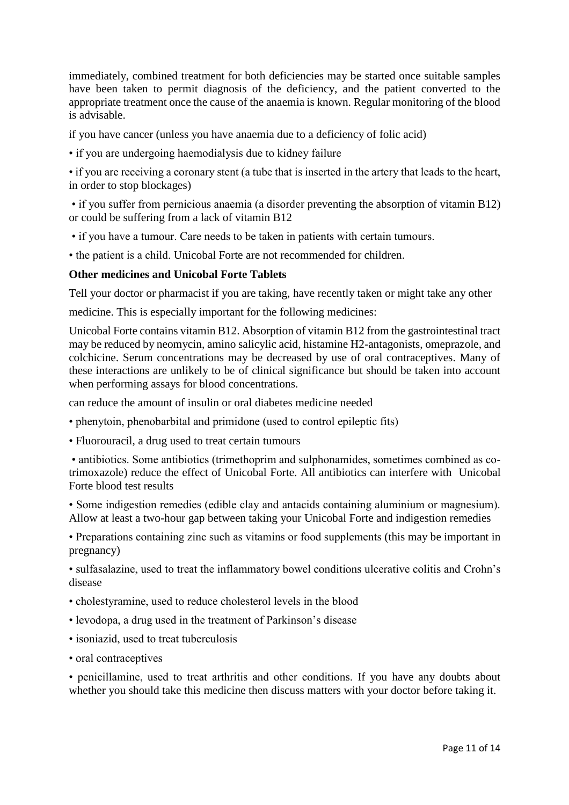immediately, combined treatment for both deficiencies may be started once suitable samples have been taken to permit diagnosis of the deficiency, and the patient converted to the appropriate treatment once the cause of the anaemia is known. Regular monitoring of the blood is advisable.

if you have cancer (unless you have anaemia due to a deficiency of folic acid)

• if you are undergoing haemodialysis due to kidney failure

• if you are receiving a coronary stent (a tube that is inserted in the artery that leads to the heart, in order to stop blockages)

• if you suffer from pernicious anaemia (a disorder preventing the absorption of vitamin B12) or could be suffering from a lack of vitamin B12

• if you have a tumour. Care needs to be taken in patients with certain tumours.

• the patient is a child. Unicobal Forte are not recommended for children.

### **Other medicines and Unicobal Forte Tablets**

Tell your doctor or pharmacist if you are taking, have recently taken or might take any other

medicine. This is especially important for the following medicines:

Unicobal Forte contains vitamin B12. Absorption of vitamin B12 from the gastrointestinal tract may be reduced by neomycin, amino salicylic acid, histamine H2-antagonists, omeprazole, and colchicine. Serum concentrations may be decreased by use of oral contraceptives. Many of these interactions are unlikely to be of clinical significance but should be taken into account when performing assays for blood concentrations.

can reduce the amount of insulin or oral diabetes medicine needed

• phenytoin, phenobarbital and primidone (used to control epileptic fits)

• Fluorouracil, a drug used to treat certain tumours

• antibiotics. Some antibiotics (trimethoprim and sulphonamides, sometimes combined as cotrimoxazole) reduce the effect of Unicobal Forte. All antibiotics can interfere with Unicobal Forte blood test results

• Some indigestion remedies (edible clay and antacids containing aluminium or magnesium). Allow at least a two-hour gap between taking your Unicobal Forte and indigestion remedies

• Preparations containing zinc such as vitamins or food supplements (this may be important in pregnancy)

• sulfasalazine, used to treat the inflammatory bowel conditions ulcerative colitis and Crohn's disease

- cholestyramine, used to reduce cholesterol levels in the blood
- levodopa, a drug used in the treatment of Parkinson's disease
- isoniazid, used to treat tuberculosis
- oral contraceptives

• penicillamine, used to treat arthritis and other conditions. If you have any doubts about whether you should take this medicine then discuss matters with your doctor before taking it.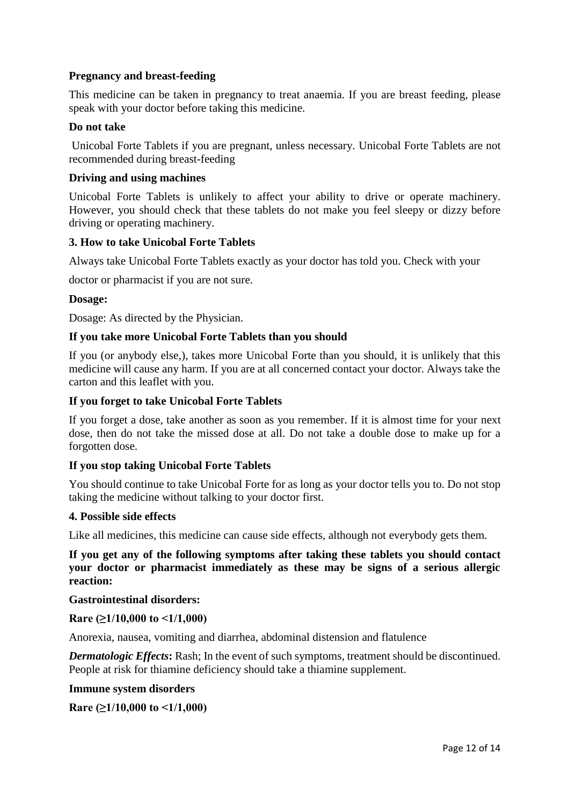# **Pregnancy and breast-feeding**

This medicine can be taken in pregnancy to treat anaemia. If you are breast feeding, please speak with your doctor before taking this medicine.

### **Do not take**

Unicobal Forte Tablets if you are pregnant, unless necessary. Unicobal Forte Tablets are not recommended during breast-feeding

### **Driving and using machines**

Unicobal Forte Tablets is unlikely to affect your ability to drive or operate machinery. However, you should check that these tablets do not make you feel sleepy or dizzy before driving or operating machinery.

### **3. How to take Unicobal Forte Tablets**

Always take Unicobal Forte Tablets exactly as your doctor has told you. Check with your

doctor or pharmacist if you are not sure.

### **Dosage:**

Dosage: As directed by the Physician.

### **If you take more Unicobal Forte Tablets than you should**

If you (or anybody else,), takes more Unicobal Forte than you should, it is unlikely that this medicine will cause any harm. If you are at all concerned contact your doctor. Always take the carton and this leaflet with you.

### **If you forget to take Unicobal Forte Tablets**

If you forget a dose, take another as soon as you remember. If it is almost time for your next dose, then do not take the missed dose at all. Do not take a double dose to make up for a forgotten dose.

### **If you stop taking Unicobal Forte Tablets**

You should continue to take Unicobal Forte for as long as your doctor tells you to. Do not stop taking the medicine without talking to your doctor first.

#### **4. Possible side effects**

Like all medicines, this medicine can cause side effects, although not everybody gets them.

**If you get any of the following symptoms after taking these tablets you should contact your doctor or pharmacist immediately as these may be signs of a serious allergic reaction:**

### **Gastrointestinal disorders:**

### **Rare (≥1/10,000 to <1/1,000)**

Anorexia, nausea, vomiting and diarrhea, abdominal distension and flatulence

*Dermatologic Effects***:** Rash; In the event of such symptoms, treatment should be discontinued. People at risk for thiamine deficiency should take a thiamine supplement.

### **Immune system disorders**

**Rare (≥1/10,000 to <1/1,000)**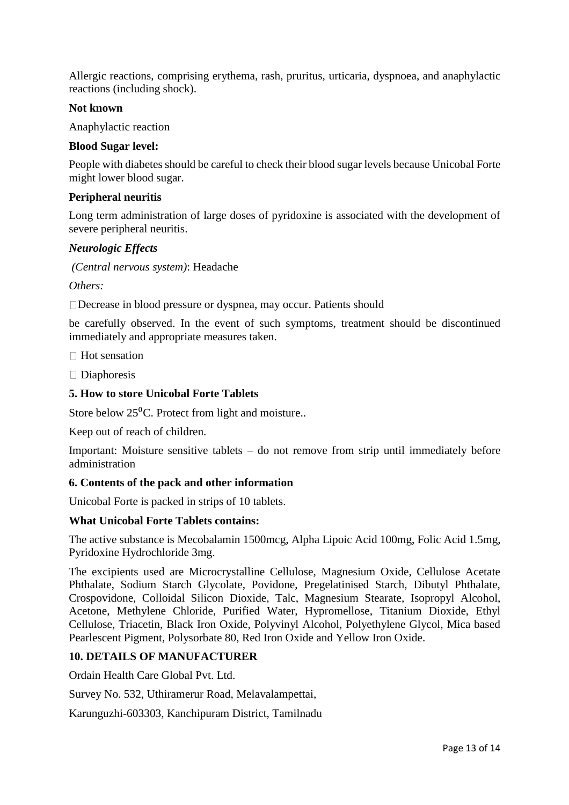Allergic reactions, comprising erythema, rash, pruritus, urticaria, dyspnoea, and anaphylactic reactions (including shock).

### **Not known**

Anaphylactic reaction

#### **Blood Sugar level:**

People with diabetes should be careful to check their blood sugar levels because Unicobal Forte might lower blood sugar.

#### **Peripheral neuritis**

Long term administration of large doses of pyridoxine is associated with the development of severe peripheral neuritis.

#### *Neurologic Effects*

*(Central nervous system)*: Headache

*Others:*

Decrease in blood pressure or dyspnea, may occur. Patients should

be carefully observed. In the event of such symptoms, treatment should be discontinued immediately and appropriate measures taken.

□ Hot sensation

 $\Box$  Diaphoresis

### **5. How to store Unicobal Forte Tablets**

Store below  $25^{\circ}$ C. Protect from light and moisture..

Keep out of reach of children.

Important: Moisture sensitive tablets – do not remove from strip until immediately before administration

### **6. Contents of the pack and other information**

Unicobal Forte is packed in strips of 10 tablets.

#### **What Unicobal Forte Tablets contains:**

The active substance is Mecobalamin 1500mcg, Alpha Lipoic Acid 100mg, Folic Acid 1.5mg, Pyridoxine Hydrochloride 3mg.

The excipients used are Microcrystalline Cellulose, Magnesium Oxide, Cellulose Acetate Phthalate, Sodium Starch Glycolate, Povidone, Pregelatinised Starch, Dibutyl Phthalate, Crospovidone, Colloidal Silicon Dioxide, Talc, Magnesium Stearate, Isopropyl Alcohol, Acetone, Methylene Chloride, Purified Water, Hypromellose, Titanium Dioxide, Ethyl Cellulose, Triacetin, Black Iron Oxide, Polyvinyl Alcohol, Polyethylene Glycol, Mica based Pearlescent Pigment, Polysorbate 80, Red Iron Oxide and Yellow Iron Oxide.

### **10. DETAILS OF MANUFACTURER**

Ordain Health Care Global Pvt. Ltd.

Survey No. 532, Uthiramerur Road, Melavalampettai,

Karunguzhi-603303, Kanchipuram District, Tamilnadu